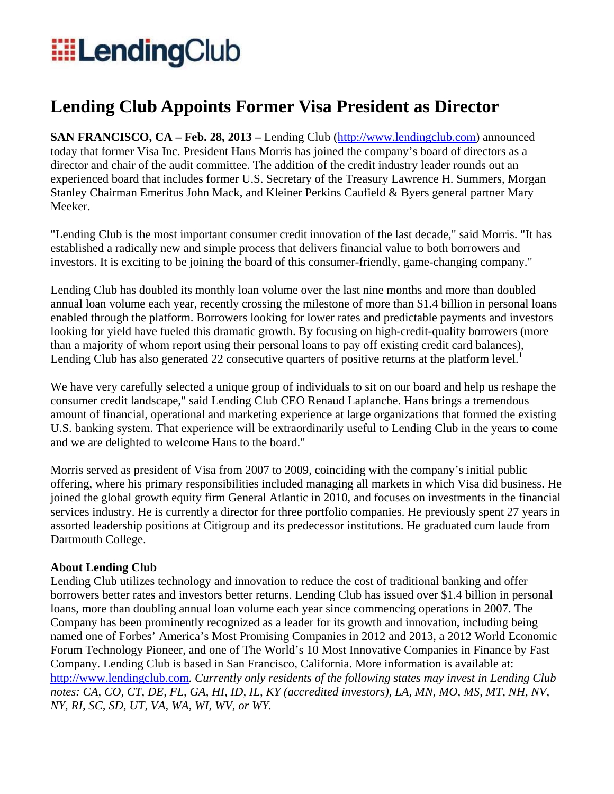## **EllendingClub**

## **Lending Club Appoints Former Visa President as Director**

**SAN FRANCISCO, CA – Feb. 28, 2013 –** Lending Club (http://www.lendingclub.com) announced today that former Visa Inc. President Hans Morris has joined the company's board of directors as a director and chair of the audit committee. The addition of the credit industry leader rounds out an experienced board that includes former U.S. Secretary of the Treasury Lawrence H. Summers, Morgan Stanley Chairman Emeritus John Mack, and Kleiner Perkins Caufield & Byers general partner Mary Meeker.

"Lending Club is the most important consumer credit innovation of the last decade," said Morris. "It has established a radically new and simple process that delivers financial value to both borrowers and investors. It is exciting to be joining the board of this consumer-friendly, game-changing company."

Lending Club has doubled its monthly loan volume over the last nine months and more than doubled annual loan volume each year, recently crossing the milestone of more than \$1.4 billion in personal loans enabled through the platform. Borrowers looking for lower rates and predictable payments and investors looking for yield have fueled this dramatic growth. By focusing on high-credit-quality borrowers (more than a majority of whom report using their personal loans to pay off existing credit card balances), Lending Club has also generated 22 consecutive quarters of positive returns at the platform level.<sup>1</sup>

We have very carefully selected a unique group of individuals to sit on our board and help us reshape the consumer credit landscape," said Lending Club CEO Renaud Laplanche. Hans brings a tremendous amount of financial, operational and marketing experience at large organizations that formed the existing U.S. banking system. That experience will be extraordinarily useful to Lending Club in the years to come and we are delighted to welcome Hans to the board."

Morris served as president of Visa from 2007 to 2009, coinciding with the company's initial public offering, where his primary responsibilities included managing all markets in which Visa did business. He joined the global growth equity firm General Atlantic in 2010, and focuses on investments in the financial services industry. He is currently a director for three portfolio companies. He previously spent 27 years in assorted leadership positions at Citigroup and its predecessor institutions. He graduated cum laude from Dartmouth College.

## **About Lending Club**

Lending Club utilizes technology and innovation to reduce the cost of traditional banking and offer borrowers better rates and investors better returns. Lending Club has issued over \$1.4 billion in personal loans, more than doubling annual loan volume each year since commencing operations in 2007. The Company has been prominently recognized as a leader for its growth and innovation, including being named one of Forbes' America's Most Promising Companies in 2012 and 2013, a 2012 World Economic Forum Technology Pioneer, and one of The World's 10 Most Innovative Companies in Finance by Fast Company. Lending Club is based in San Francisco, California. More information is available at: http://www.lendingclub.com. *Currently only residents of the following states may invest in Lending Club notes: CA, CO, CT, DE, FL, GA, HI, ID, IL, KY (accredited investors), LA, MN, MO, MS, MT, NH, NV, NY, RI, SC, SD, UT, VA, WA, WI, WV, or WY.*